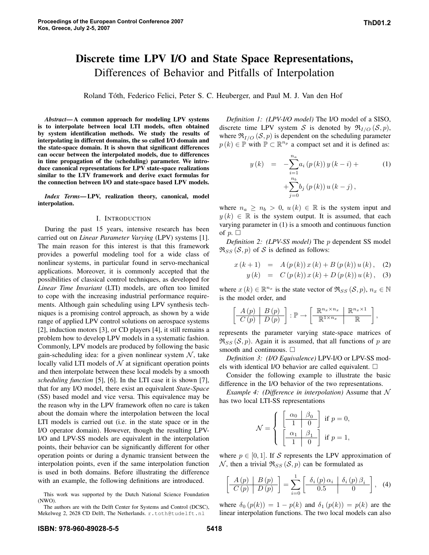# Discrete time LPV I/O and State Space Representations, Differences of Behavior and Pitfalls of Interpolation

Roland Tóth, Federico Felici, Peter S. C. Heuberger, and Paul M. J. Van den Hof

*Abstract*—A common approach for modeling LPV systems is to interpolate between local LTI models, often obtained by system identification methods. We study the results of interpolating in different domains, the so called I/O domain and the state-space domain. It is shown that significant differences can occur between the interpolated models, due to differences in time propagation of the (scheduling) parameter. We introduce canonical representations for LPV state-space realizations similar to the LTV framework and derive exact formulas for the connection between I/O and state-space based LPV models.

*Index Terms*—LPV, realization theory, canonical, model interpolation.

## I. INTRODUCTION

During the past 15 years, intensive research has been carried out on *Linear Parameter Varying* (LPV) systems [1]. The main reason for this interest is that this framework provides a powerful modeling tool for a wide class of nonlinear systems, in particular found in servo-mechanical applications. Moreover, it is commonly accepted that the possibilities of classical control techniques, as developed for *Linear Time Invariant* (LTI) models, are often too limited to cope with the increasing industrial performance requirements. Although gain scheduling using LPV synthesis techniques is a promising control approach, as shown by a wide range of applied LPV control solutions on aerospace systems [2], induction motors [3], or CD players [4], it still remains a problem how to develop LPV models in a systematic fashion. Commonly, LPV models are produced by following the basic gain-scheduling idea: for a given nonlinear system  $N$ , take locally valid LTI models of  $N$  at significant operation points and then interpolate between these local models by a smooth *scheduling function* [5], [6]. In the LTI case it is shown [7], that for any I/O model, there exist an equivalent *State-Space* (SS) based model and vice versa. This equivalence may be the reason why in the LPV framework often no care is taken about the domain where the interpolation between the local LTI models is carried out (i.e. in the state space or in the I/O operator domain). However, though the resulting LPV-I/O and LPV-SS models are equivalent in the interpolation points, their behavior can be significantly different for other operation points or during a dynamic transient between the interpolation points, even if the same interpolation function is used in both domains. Before illustrating the difference with an example, the following definitions are introduced.

This work was supported by the Dutch National Science Foundation (NWO).

The authors are with the Delft Center for Systems and Control (DCSC), Mekelweg 2, 2628 CD Delft, The Netherlands. r.toth@tudelft.nl

*Definition 1: (LPV-I/O model)* The I/O model of a SISO, discrete time LPV system S is denoted by  $\mathfrak{R}_{I/O}(\mathcal{S}, p)$ , where  $\Re_{I/O}(\mathcal{S}, p)$  is dependent on the scheduling parameter  $p(k) \in \mathbb{P}$  with  $\mathbb{P} \subset \mathbb{R}^{n_p}$  a compact set and it is defined as:

$$
y(k) = -\sum_{i=1}^{n_a} a_i (p(k)) y (k - i) +
$$
  
+
$$
\sum_{j=0}^{n_b} b_j (p(k)) u (k - j),
$$
 (1)

where  $n_a \geq n_b > 0$ ,  $u(k) \in \mathbb{R}$  is the system input and  $y(k) \in \mathbb{R}$  is the system output. It is assumed, that each varying parameter in (1) is a smooth and continuous function of  $p.$ 

*Definition 2: (LPV-SS model)* The p dependent SS model  $\Re_{SS}(\mathcal{S}, p)$  of S is defined as follows:

$$
x(k+1) = A(p(k))x(k) + B(p(k))u(k), (2)
$$

$$
y(k) = C (p(k)) x (k) + D (p(k)) u (k), (3)
$$

where  $x(k) \in \mathbb{R}^{n_x}$  is the state vector of  $\Re_{SS}(\mathcal{S}, p)$ ,  $n_x \in \mathbb{N}$ is the model order, and

$$
\left[\begin{array}{c|c} A(p) & B(p) \\ \hline C(p) & D(p) \end{array}\right] : \mathbb{P} \to \left[\begin{array}{c|c} \mathbb{R}^{n_x \times n_x} & \mathbb{R}^{n_x \times 1} \\ \hline \mathbb{R}^{1 \times n_x} & \mathbb{R} \end{array}\right],
$$

represents the parameter varying state-space matrices of  $\Re_{SS}(\mathcal{S}, p)$ . Again it is assumed, that all functions of p are smooth and continuous.  $\square$ 

*Definition 3: (I/O Equivalence)* LPV-I/O or LPV-SS models with identical I/O behavior are called equivalent.  $\square$ 

Consider the following example to illustrate the basic difference in the I/O behavior of the two representations.

*Example* 4: *(Difference in interpolation)* Assume that  $\mathcal N$ has two local LTI-SS representations

$$
\mathcal{N} = \left\{ \begin{array}{ll} \left[ \begin{array}{c|c} \alpha_0 & \beta_0 \\ \hline 1 & 0 \end{array} \right] & \text{if } p = 0, \\ \left[ \begin{array}{c|c} \alpha_1 & \beta_1 \\ \hline 1 & 0 \end{array} \right] & \text{if } p = 1, \end{array} \right.
$$

where  $p \in [0, 1]$ . If S represents the LPV approximation of N, then a trivial  $\Re_{SS}(\mathcal{S}, p)$  can be formulated as

$$
\left[\begin{array}{c|c} A(p) & B(p) \\ \hline C(p) & D(p) \end{array}\right] = \sum_{i=0}^{1} \left[\begin{array}{c|c} \delta_i(p) \alpha_i & \delta_i(p) \beta_i \\ \hline 0.5 & 0 \end{array}\right], \quad (4)
$$

where  $\delta_0(p(k)) = 1 - p(k)$  and  $\delta_1(p(k)) = p(k)$  are the linear interpolation functions. The two local models can also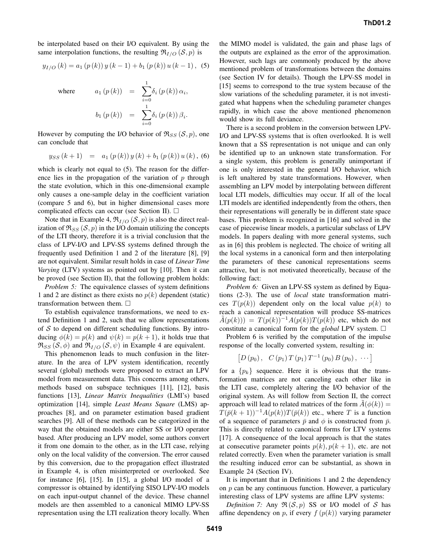be interpolated based on their I/O equivalent. By using the same interpolation functions, the resulting  $\mathfrak{R}_{I/O}(\mathcal{S}, p)$  is

$$
y_{I/O}(k) = a_1 (p(k)) y (k-1) + b_1 (p(k)) u (k-1),
$$
 (5)

where 
$$
a_1(p(k)) = \sum_{i=0}^{1} \delta_i(p(k)) \alpha_i,
$$

$$
b_1(p(k)) = \sum_{i=0}^{1} \delta_i(p(k)) \beta_i.
$$

However by computing the I/O behavior of  $\mathfrak{R}_{SS}(\mathcal{S}, p)$ , one can conclude that

$$
y_{SS}(k+1) = a_1(p(k))y(k) + b_1(p(k))u(k), (6)
$$

which is clearly not equal to  $(5)$ . The reason for the difference lies in the propagation of the variation of  $p$  through the state evolution, which in this one-dimensional example only causes a one-sample delay in the coefficient variation (compare 5 and 6), but in higher dimensional cases more complicated effects can occur (see Section II).  $\Box$ 

Note that in Example 4,  $\mathfrak{R}_{I/O}(\mathcal{S}, p)$  is also the direct realization of  $\Re_{SS}(\mathcal{S}, p)$  in the I/O domain utilizing the concepts of the LTI theory, therefore it is a trivial conclusion that the class of LPV-I/O and LPV-SS systems defined through the frequently used Definition 1 and 2 of the literature [8], [9] are not equivalent. Similar result holds in case of *Linear Time Varying* (LTV) systems as pointed out by [10]. Then it can be proved (see Section II), that the following problem holds:

*Problem 5:* The equivalence classes of system definitions 1 and 2 are distinct as there exists no  $p(k)$  dependent (static) transformation between them.  $\Box$ 

To establish equivalence transformations, we need to extend Definition 1 and 2, such that we allow representations of  $S$  to depend on different scheduling functions. By introducing  $\phi(k) = p(k)$  and  $\psi(k) = p(k+1)$ , it holds true that  $\Re_{SS}$  (S,  $\phi$ ) and  $\Re_{I/O}$  (S,  $\psi$ ) in Example 4 are equivalent.

This phenomenon leads to much confusion in the literature. In the area of LPV system identification, recently several (global) methods were proposed to extract an LPV model from measurement data. This concerns among others, methods based on subspace techniques [11], [12], basis functions [13], *Linear Matrix Inequalities* (LMI's) based optimization [14], simple *Least Means Square* (LMS) approaches [8], and on parameter estimation based gradient searches [9]. All of these methods can be categorized in the way that the obtained models are either SS or I/O operator based. After producing an LPV model, some authors convert it from one domain to the other, as in the LTI case, relying only on the local validity of the conversion. The error caused by this conversion, due to the propagation effect illustrated in Example 4, is often misinterpreted or overlooked. See for instance [6], [15]. In [15], a global I/O model of a compressor is obtained by identifying SISO LPV-I/O models on each input-output channel of the device. These channel models are then assembled to a canonical MIMO LPV-SS representation using the LTI realization theory locally. When

the MIMO model is validated, the gain and phase lags of the outputs are explained as the error of the approximation. However, such lags are commonly produced by the above mentioned problem of transformations between the domains (see Section IV for details). Though the LPV-SS model in [15] seems to correspond to the true system because of the slow variations of the scheduling parameter, it is not investigated what happens when the scheduling parameter changes rapidly, in which case the above mentioned phenomenon would show its full deviance.

There is a second problem in the conversion between LPV-I/O and LPV-SS systems that is often overlooked. It is well known that a SS representation is not unique and can only be identified up to an unknown state transformation. For a single system, this problem is generally unimportant if one is only interested in the general I/O behavior, which is left unaltered by state transformations. However, when assembling an LPV model by interpolating between different local LTI models, difficulties may occur. If all of the local LTI models are identified independently from the others, then their representations will generally be in different state space bases. This problem is recognized in [16] and solved in the case of piecewise linear models, a particular subclass of LPV models. In papers dealing with more general systems, such as in [6] this problem is neglected. The choice of writing all the local systems in a canonical form and then interpolating the parameters of these canonical representations seems attractive, but is not motivated theoretically, because of the following fact:

*Problem 6:* Given an LPV-SS system as defined by Equations (2-3). The use of *local* state transformation matrices  $T(p(k))$  dependent only on the local value  $p(k)$  to reach a canonical representation will produce SS-matrices  $\tilde{A}(p(k)) = T(p(k))^{-1}A(p(k))T(p(k))$  etc, which do not constitute a canonical form for the *global* LPV system.  $\Box$ 

Problem 6 is verified by the computation of the impulse response of the locally converted system, resulting in:

$$
[D (p_0), C (p_1) T (p_1) T^{-1} (p_0) B (p_0), \cdots]
$$

for a  $\{p_k\}$  sequence. Here it is obvious that the transformation matrices are not canceling each other like in the LTI case, completely altering the I/O behavior of the original system. As will follow from Section II, the correct approach will lead to related matrices of the form  $\tilde{A}(\phi(k)) =$  $T(\bar{p}(k+1))^{-1}A(p(k))T(\bar{p}(k))$  etc., where T is a function of a sequence of parameters  $\bar{p}$  and  $\phi$  is constructed from  $\bar{p}$ . This is directly related to canonical forms for LTV systems [17]. A consequence of the local approach is that the states at consecutive parameter points  $p(k)$ ,  $p(k + 1)$ , etc. are not related correctly. Even when the parameter variation is small the resulting induced error can be substantial, as shown in Example 24 (Section IV).

It is important that in Definitions 1 and 2 the dependency on p can be any continuous function. However, a particulary interesting class of LPV systems are affine LPV systems:

*Definition* 7: Any  $\Re(S, p)$  SS or I/O model of S has affine dependency on p, if every  $f(p(k))$  varying parameter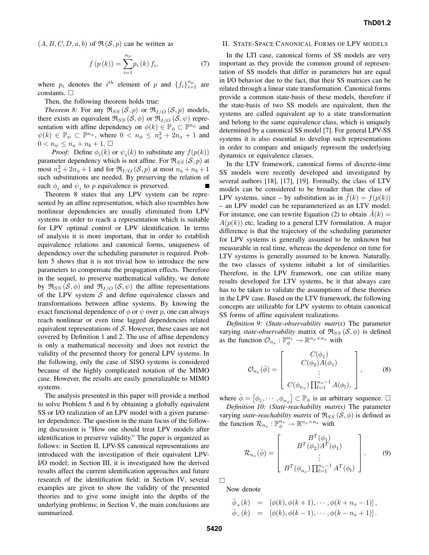$(A, B, C, D, a, b)$  of  $\Re(S, p)$  can be written as

$$
f(p(k)) = \sum_{i=1}^{n_p} p_i(k) f_i,
$$
 (7)

where  $p_i$  denotes the  $i^{th}$  element of p and  $\{f_i\}_{i=1}^{n_p}$  are constants.  $\square$ 

Then, the following theorem holds true:

*Theorem 8:* For any  $\Re_{SS}(\mathcal{S}, p)$  or  $\Re_{I/O}(\mathcal{S}, p)$  models, there exists an equivalent  $\Re_{SS}(\mathcal{S}, \phi)$  or  $\Re_{I/O}(\mathcal{S}, \psi)$  representation with affine dependency on  $\phi(k) \in \mathbb{P}_{\phi} \subset \mathbb{P}^{n_{\phi}}$  and  $\psi(k) \in \mathbb{P}_{\psi} \subset \mathbb{P}^{n_{\psi}},$  where  $0 < n_{\phi} \leq n_x^2 + 2n_x + 1$  and  $0 < n_{\psi} \leq n_a + n_b + 1.$ 

*Proof:* Define  $\phi_i(k)$  or  $\psi_i(k)$  to substitute any  $f(p(k))$ parameter dependency which is not affine. For  $\mathfrak{R}_{SS}(\mathcal{S}, p)$  at most  $n_x^2 + 2n_x + 1$  and for  $\Re_{I/O} (\mathcal{S}, p)$  at most  $n_a + n_b + 1$ such substitutions are needed. By preserving the relation of each  $\phi_i$  and  $\psi_i$  to p equivalence is preserved.

Theorem 8 states that any LPV system can be represented by an affine representation, which also resembles how nonlinear dependencies are usually eliminated from LPV systems in order to reach a representation which is suitable for LPV optimal control or LPV identification. In terms of analysis it is more important, that in order to establish equivalence relations and canonical forms, uniqueness of dependency over the scheduling parameter is required. Problem 5 shows that it is not trivial how to introduce the new parameters to compensate the propagation effects. Therefore in the sequel, to preserve mathematical validity, we denote by  $\mathfrak{R}_{SS}(\mathcal{S}, \phi)$  and  $\mathfrak{R}_{I/O}(\mathcal{S}, \psi)$  the affine representations of the LPV system  $S$  and define equivalence classes and transformations between affine systems. By knowing the exact functional dependence of  $\phi$  or  $\psi$  over p, one can always reach nonlinear or even time lagged dependencies related equivalent representations of S. However, these cases are not covered by Definition 1 and 2. The use of affine dependency is only a mathematical necessity and does not restrict the validity of the presented theory for general LPV systems. In the following, only the case of SISO systems is considered because of the highly complicated notation of the MIMO case. However, the results are easily generalizable to MIMO systems.

The analysis presented in this paper will provide a method to solve Problem 5 and 6 by obtaining a globally equivalent SS or I/O realization of an LPV model with a given parameter dependence. The question in the main focus of the following discussion is "How one should treat LPV models after identification to preserve validity." The paper is organized as follows: in Section II, LPV-SS canonical representations are introduced with the investigation of their equivalent LPV-I/O model; in Section III, it is investigated how the derived results affect the current identification approaches and future research of the identification field; in Section IV, several examples are given to show the validity of the presented theories and to give some insight into the depths of the underlying problems; in Section V, the main conclusions are summarized.

#### II. STATE-SPACE CANONICAL FORMS OF LPV MODELS

In the LTI case, canonical forms of SS models are very important as they provide the common ground of representation of SS models that differ in parameters but are equal in I/O behavior due to the fact, that their SS matrices can be related through a linear state transformation. Canonical forms provide a common state-basis of these models, therefore if the state-basis of two SS models are equivalent, then the systems are called equivalent up to a state transformation and belong to the same equivalence class, which is uniquely determined by a canonical SS model [7]. For general LPV-SS systems it is also essential to develop such representations in order to compare and uniquely represent the underlying dynamics or equivalence classes.

In the LTV framework, canonical forms of discrete-time SS models were recently developed and investigated by several authors [18], [17], [19]. Formally, the class of LTV models can be considered to be broader than the class of LPV systems, since – by substitution as in  $\hat{f}(k) = f(p(k))$ – an LPV model can be reparameterized as an LTV model. For instance, one can rewrite Equation (2) to obtain  $A(k) =$  $A(p(k))$  etc, leading to a general LTV formulation. A major difference is that the trajectory of the scheduling parameter for LPV systems is generally assumed to be unknown but measurable in real time, whereas the dependence on time for LTV systems is generally assumed to be known. Naturally, the two classes of systems inhabit a lot of similarities. Therefore, in the LPV framework, one can utilize many results developed for LTV systems, be it that always care has to be taken to validate the assumptions of these theories in the LPV case. Based on the LTV framework, the following concepts are utilizable for LPV systems to obtain canonical SS forms of affine equivalent realizations.

*Definition 9:* (*State-observability matrix*) The parameter varying *state-observability* matrix of  $\Re_{SS}(\mathcal{S}, \phi)$  is defined as the function  $\mathcal{O}_{n_x}: \mathbb{P}_{\phi}^{n_x} \to \mathbb{R}^{n_x \times n_x}$  with

$$
\mathcal{O}_{n_x}(\bar{\phi}) = \begin{bmatrix} C(\phi_1) \\ C(\phi_2)A(\phi_1) \\ \vdots \\ C(\phi_{n_x}) \prod_{l=1}^{n_x - 1} A(\phi_l), \end{bmatrix}, \quad (8)
$$

where  $\bar{\phi} = [\phi_1, \cdots, \phi_{n_x}] \subset \mathbb{P}_{\phi}$  is an arbitrary sequence.  $\Box$ 

*Definition 10: (State-reachability matrix)* The parameter varying *state-reachability matrix* of  $\Re_{SS}(\mathcal{S}, \phi)$  is defined as the function  $\mathcal{R}_{n_x}: \mathbb{P}_{\phi}^{n_x} \to \mathbb{R}^{n_x \times n_x}$  with

$$
\mathcal{R}_{n_x}(\bar{\phi}) = \begin{bmatrix} B^T(\phi_1) \\ B^T(\phi_2)A^T(\phi_1) \\ \vdots \\ B^T(\phi_{n_x})\prod_{l=1}^{n_x-1} A^T(\phi_l) \end{bmatrix} . \tag{9}
$$

¤

Now denote

$$
\bar{\phi}_{+}(k) = [\phi(k), \phi(k+1), \cdots, \phi(k+n_x-1)], \bar{\phi}_{-}(k) = [\phi(k), \phi(k-1), \cdots, \phi(k-n_x+1)].
$$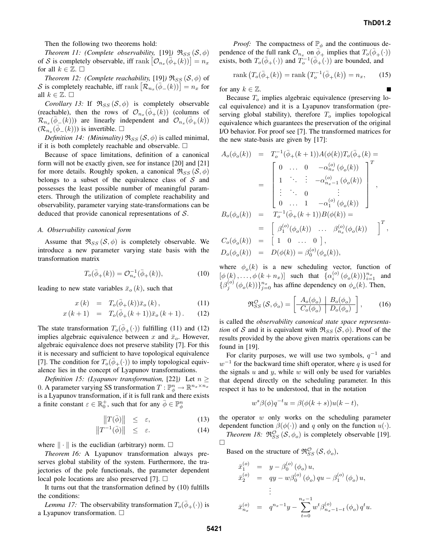Then the following two theorems hold:

*Theorem 11: (Complete observability,* [19]*)*  $\Re_{SS}(\mathcal{S}, \phi)$ of S is completely observable, iff rank  $\left[\mathcal{O}_{n_x}(\bar{\phi}_+(k))\right] = n_x$ for all  $k \in \mathbb{Z}$ .  $\square$ 

*Theorem 12: (Complete reachability,* [19]*)*  $\Re_{SS}(\mathcal{S}, \phi)$  of S is completely reachable, iff rank  $\left[{\mathcal{R}}_{n_x}(\bar{\phi}_{-}(k))\right] = n_x$  for all  $k \in \mathbb{Z}$ .  $\square$ 

*Corollary* 13: If  $\Re_{SS}(\mathcal{S}, \phi)$  is completely observable (reachable), then the rows of  $\mathcal{O}_{n_x}(\bar{\phi}_+(k))$  (columns of  $\mathcal{R}_{n_x}(\bar{\phi}_{-}(k))$  are linearly independent and  $\mathcal{O}_{n_x}(\bar{\phi}_{+}(k))$  $(\overline{\mathcal{R}_{n_x}}(\overline{\phi}_-(k)))$  is invertible.  $\Box$ 

*Definition 14: (Minimality)*  $\Re_{SS}(\mathcal{S}, \phi)$  is called minimal, if it is both completely reachable and observable.  $\Box$ 

Because of space limitations, definition of a canonical form will not be exactly given, see for instance [20] and [21] for more details. Roughly spoken, a canonical  $\mathfrak{R}_{SS}(\mathcal{S}, \phi)$ belongs to a subset of the equivalence class of  $S$  and possesses the least possible number of meaningful parameters. Through the utilization of complete reachability and observability, parameter varying state-transformations can be deduced that provide canonical representations of S.

## *A. Observability canonical form*

Assume that  $\Re_{SS}(\mathcal{S}, \phi)$  is completely observable. We introduce a new parameter varying state basis with the transformation matrix

$$
T_o(\bar{\phi}_+(k)) = \mathcal{O}_{n_x}^{-1}(\bar{\phi}_+(k)),\tag{10}
$$

leading to new state variables  $\bar{x}_{o}(k)$ , such that

$$
x(k) = T_o(\bar{\phi}_+(k))\bar{x}_o(k), \qquad (11)
$$

$$
x(k+1) = T_o(\bar{\phi}_+(k+1))\bar{x}_o(k+1). \tag{12}
$$

The state transformation  $T_o(\bar{\phi}_+(\cdot))$  fulfilling (11) and (12) implies algebraic equivalence between x and  $\bar{x}_o$ . However, algebraic equivalence does not preserve stability [7]. For this it is necessary and sufficient to have topological equivalence [7]. The condition for  $T_o(\bar{\phi}_+(\cdot))$  to imply topological equivalence lies in the concept of Lyapunov transformations.

*Definition* 15: (Lyapunov *transformation*, [22]) Let  $n \geq$ 0. A parameter varying SS transformation  $T: \mathbb{P}^n_{\phi} \to \mathbb{R}^{n_x \times n_x}$ is a Lyapunov transformation, if it is full rank and there exists a finite constant  $\varepsilon \in \mathbb{R}_0^+$ , such that for any  $\overline{\phi} \in \mathbb{P}_{\phi}^n$ 

$$
\|T(\bar{\phi})\| \le \varepsilon, \tag{13}
$$

$$
\left\|T^{-1}(\bar{\phi})\right\| \leq \varepsilon. \tag{14}
$$

where  $\|\cdot\|$  is the euclidian (arbitrary) norm.  $\Box$ 

*Theorem 16:* A Lyapunov transformation always preserves global stability of the system. Furthermore, the trajectories of the pole functionals, the parameter dependent local pole locations are also preserved [7].  $\Box$ 

It turns out that the transformation defined by (10) fulfills the conditions:

*Lemma 17:* The observability transformation  $T_o(\bar{\phi}_{+}(\cdot))$  is a Lyapunov transformation.  $\Box$ 

*Proof:* The compactness of  $\mathbb{P}_{\phi}$  and the continuous dependence of the full rank  $\mathcal{O}_{n_x}$  on  $\phi^{\perp}_+$  implies that  $T_o(\bar{\phi}_+(\cdot))$ exists, both  $T_o(\bar{\phi}_+(\cdot))$  and  $T_o^{-1}(\bar{\phi}_+(\cdot))$  are bounded, and

$$
rank(T_o(\bar{\phi}_+(k)) = rank(T_o^{-1}(\bar{\phi}_+(k)) = n_x, \qquad (15)
$$

for any  $k \in \mathbb{Z}$ .

Because  $T<sub>o</sub>$  implies algebraic equivalence (preserving local equivalence) and it is a Lyapunov transformation (preserving global stability), therefore  $T<sub>o</sub>$  implies topological equivalence which guarantees the preservation of the original I/O behavior. For proof see [7]. The transformed matrices for the new state-basis are given by [17]:

$$
A_o(\phi_o(k)) = T_o^{-1}(\bar{\phi}_+(k+1))A(\phi(k))T_o(\bar{\phi}_+(k)) =
$$
  
\n
$$
= \begin{bmatrix} 0 & \cdots & 0 & -\alpha_{n_x}^{(o)}(\phi_o(k)) \\ 1 & \ddots & \vdots & -\alpha_{n_x-1}^{(o)}(\phi_o(k)) \\ \vdots & \ddots & 0 & \vdots \\ 0 & \cdots & 1 & -\alpha_1^{(o)}(\phi_o(k)) \end{bmatrix}^T,
$$
  
\n
$$
B_o(\phi_o(k)) = T_o^{-1}(\bar{\phi}_+(k+1))B(\phi(k)) =
$$
  
\n
$$
= \begin{bmatrix} \beta_1^{(o)}(\phi_o(k)) & \cdots & \beta_{n_x}^{(o)}(\phi_o(k)) \\ 1 & 0 & \cdots & 0 \end{bmatrix},
$$
  
\n
$$
C_o(\phi_o(k)) = \begin{bmatrix} 1 & 0 & \cdots & 0 \end{bmatrix},
$$
  
\n
$$
D_o(\phi_o(k)) = D(\phi(k)) = \beta_0^{(o)}(\phi_o(k)),
$$

where  $\phi_o(k)$  is a new scheduling vector, function of  $[\phi(k), \ldots, \phi(k+n_x)]$  such that  $\{\alpha_i^{(o)}(\phi_o(k))\}_{i=1}^{n_x}$  and  $\{\beta_j^{(o)}(\phi_o(k))\}_{j=0}^{n_x}$  has affine dependency on  $\phi_o(k)$ . Then,

$$
\mathfrak{R}_{SS}^{\mathcal{O}}\left(\mathcal{S},\phi_o\right) = \left[\begin{array}{c|c} A_o(\phi_o) & B_o(\phi_o) \\ \hline C_o(\phi_o) & D_o(\phi_o) \end{array}\right],\tag{16}
$$

is called the *observability canonical state space representation* of S and it is equivalent with  $\Re_{SS}$  (S,  $\phi$ ). Proof of the results provided by the above given matrix operations can be found in [19].

For clarity purposes, we will use two symbols,  $q^{-1}$  and  $w^{-1}$  for the backward time shift operator, where q is used for the signals  $u$  and  $y$ , while  $w$  will only be used for variables that depend directly on the scheduling parameter. In this respect it has to be understood, that in the notation

$$
w^{s}\beta(\phi)q^{-t}u = \beta(\phi(k+s))u(k-t),
$$

the operator  $w$  only works on the scheduling parameter dependent function  $\beta(\phi(\cdot))$  and q only on the function  $u(\cdot)$ . *Theorem 18:*  $\mathfrak{R}_{SS}^{\mathcal{O}}(\mathcal{S}, \phi_o)$  is completely observable [19].

¤

Based on the structure of  $\mathfrak{R}_{SS}^{\mathcal{O}}(\mathcal{S}, \phi_o)$ ,

$$
\begin{array}{rcl}\n\bar{x}_1^{(o)} & = & y - \beta_0^{(o)}(\phi_o) \, u, \\
\bar{x}_2^{(o)} & = & qy - w\beta_0^{(o)}(\phi_o) \, qu - \beta_1^{(o)}(\phi_o) \, u, \\
& \vdots \\
\bar{x}_{n_x}^{(o)} & = & q^{n_x - 1}y - \sum_{t=0}^{n_x - 1} w^t \beta_{n_x - 1 - t}^{(o)}(\phi_o) \, q^t u.\n\end{array}
$$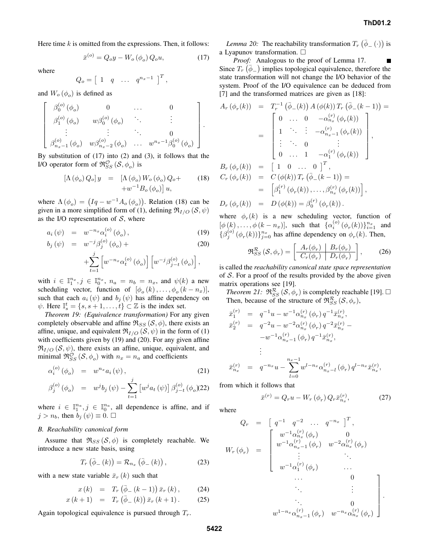Here time  $k$  is omitted from the expressions. Then, it follows:

$$
\bar{x}^{(o)} = Q_o y - W_o \left(\phi_o\right) Q_o u,\tag{17}
$$

where

$$
Q_o = \begin{bmatrix} 1 & q & \dots & q^{n_x - 1} \end{bmatrix}^T,
$$

and  $W_o(\phi_o)$  is defined as

$$
\begin{bmatrix}\n\beta_0^{(o)}(\phi_o) & 0 & \cdots & 0 \\
\beta_1^{(o)}(\phi_o) & w\beta_0^{(o)}(\phi_o) & \ddots & \vdots \\
\vdots & \vdots & \ddots & 0 \\
\beta_{n_x-1}^{(o)}(\phi_o) & w\beta_{n_x-2}^{(o)}(\phi_o) & \cdots & w^{n_x-1}\beta_0^{(o)}(\phi_o)\n\end{bmatrix}.
$$

By substitution of (17) into (2) and (3), it follows that the I/O operator form of  $\mathfrak{R}_{SS}^{\mathcal{O}}(\mathcal{S}, \phi_o)$  is

$$
\begin{array}{rcl} \left[ \Lambda \left( \phi_o \right) Q_o \right] y & = & \left[ \Lambda \left( \phi_o \right) W_o \left( \phi_o \right) Q_o + \right. \\ & & \left. + w^{-1} B_o \left( \phi_o \right) \right] u, \end{array} \tag{18}
$$

where  $\Lambda(\phi_o) = (Iq - w^{-1}A_o(\phi_o))$ . Relation (18) can be given in a more simplified form of (1), defining  $\mathfrak{R}_{I/O}(\mathcal{S}, \psi)$ as the I/O representation of  $S$ , where

$$
a_i(\psi) = w^{-n_x} \alpha_i^{(o)}(\phi_o), \qquad (19)
$$

$$
b_j(\psi) = w^{-j} \beta_j^{(o)}(\phi_o) + \tag{20}
$$

$$
+\sum_{t=1}^{j}\left[w^{-n_x}\alpha_t^{(o)}\left(\phi_o\right)\right]\left[w^{-j}\beta_{j-t}^{(o)}\left(\phi_o\right)\right],
$$

with  $i \in \mathbb{I}_1^{n_x}, j \in \mathbb{I}_0^{n_x}, n_a = n_b = n_x$ , and  $\psi(k)$  a new scheduling vector, function of  $[\phi_o(k), \dots, \phi_o(k - n_x)],$ such that each  $a_i (\psi)$  and  $b_j (\psi)$  has affine dependency on  $\psi$ . Here  $\mathbb{I}_s^t = \{s, s+1, \ldots, t\} \subset \mathbb{Z}$  is the index set.

*Theorem 19: (Equivalence transformation)* For any given completely observable and affine  $\Re_{SS}$  (S,  $\phi$ ), there exists an affine, unique, and equivalent  $\Re_{I/O}(\mathcal{S}, \psi)$  in the form of (1) with coefficients given by (19) and (20). For any given affine  $\mathfrak{R}_{I/O}$  (S,  $\psi$ ), there exists an affine, unique, equivalent, and minimal  $\mathfrak{R}_{SS}^{\bullet}(\mathcal{S}, \phi_o)$  with  $n_x = n_a$  and coefficients

$$
\alpha_i^{(o)}\left(\phi_o\right) = w^{n_x} a_i\left(\psi\right),\tag{21}
$$

$$
\beta_j^{(o)}(\phi_o) = w^j b_j(\psi) - \sum_{t=1}^j \left[ w^j a_t(\psi) \right] \beta_{j-t}^{(o)}(\phi_o) (22)
$$

where  $i \in \mathbb{I}_1^{n_a}$ ,  $j \in \mathbb{I}_0^{n_a}$ , all dependence is affine, and if  $j > n_b$ , then  $b_j(\psi) \equiv 0$ .  $\Box$ 

# *B. Reachability canonical form*

Assume that  $\Re_{SS}(\mathcal{S}, \phi)$  is completely reachable. We introduce a new state basis, using

$$
T_r\left(\bar{\phi}_{-}\left(k\right)\right) = \mathcal{R}_{n_x}\left(\bar{\phi}_{-}\left(k\right)\right),\tag{23}
$$

with a new state variable  $\bar{x}_r(k)$  such that

$$
x(k) = T_r \left( \bar{\phi}_-(k-1) \right) \bar{x}_r \left( k \right), \tag{24}
$$

$$
x(k+1) = T_r (\bar{\phi}_-(k)) \bar{x}_r(k+1).
$$
 (25)

Again topological equivalence is pursued through  $T_r$ .

*Lemma 20:* The reachability transformation  $T_r(\bar{\phi}_{-}(\cdot))$  is a Lyapunov transformation.  $\square$ 

*Proof:* Analogous to the proof of Lemma 17. Since  $T_r(\bar{\phi}_-)$  implies topological equivalence, therefore the state transformation will not change the I/O behavior of the system. Proof of the I/O equivalence can be deduced from [7] and the transformed matrices are given as [18]:

$$
A_r (\phi_r(k)) = T_r^{-1} (\bar{\phi}_-(k)) A (\phi(k)) T_r (\bar{\phi}_-(k-1)) =
$$
  
\n
$$
= \begin{bmatrix} 0 & \cdots & 0 & -\alpha_{n_x}^{(r)} (\phi_r(k)) \\ 1 & \ddots & \vdots & -\alpha_{n_x-1}^{(r)} (\phi_r(k)) \\ \vdots & \ddots & 0 & \vdots \\ 0 & \cdots & 1 & -\alpha_1^{(r)} (\phi_r(k)) \end{bmatrix},
$$
  
\n
$$
B_r (\phi_r(k)) = \begin{bmatrix} 1 & 0 & \cdots & 0 \end{bmatrix}^T,
$$
  
\n
$$
C_r (\phi_r(k)) = C (\phi(k)) T_r (\bar{\phi}_-(k-1)) =
$$
  
\n
$$
= [\beta_1^{(r)} (\phi_r(k)), \dots, \beta_{n_x}^{(r)} (\phi_r(k))],
$$
  
\n
$$
D_r (\phi_r(k)) = D (\phi(k)) = \beta_0^{(r)} (\phi_r(k)).
$$

where  $\phi_r(k)$  is a new scheduling vector, function of  $[\phi(k), \ldots, \phi(k - n_x)],$  such that  $\{\alpha_i^{(o)}(\phi_r(k))\}_{i=1}^{n_x}$  and  $\{\beta_j^{(o)}(\phi_r(k))\}_{j=0}^{n_x}$  has affine dependency on  $\phi_r(k)$ . Then,

$$
\mathfrak{R}_{SS}^{\mathcal{R}}\left(\mathcal{S},\phi_{r}\right) = \left[\begin{array}{c|c} A_{r}(\phi_{r}) & B_{r}(\phi_{r}) \\ \hline C_{r}(\phi_{r}) & D_{r}(\phi_{r}) \end{array}\right],\tag{26}
$$

is called the *reachability canonical state space representation* of  $S$ . For a proof of the results provided by the above given matrix operations see [19].

*Theorem 21:*  $\mathfrak{R}_{SS}^{\mathcal{R}}(\mathcal{S}, \phi_r)$  is completely reachable [19].  $\Box$ Then, because of the structure of  $\mathfrak{R}_{SS}^{\mathcal{R}}(\mathcal{S}, \phi_r)$ ,

$$
\begin{array}{rcl}\n\bar{x}_1^{(r)} & = & q^{-1}u - w^{-1}\alpha_{n_x}^{(r)}\left(\phi_r\right)q^{-1}\bar{x}_{n_x}^{(r)}, \\
\bar{x}_2^{(r)} & = & q^{-2}u - w^{-2}\alpha_{n_x}^{(r)}\left(\phi_r\right)q^{-2}\bar{x}_{n_x}^{(r)} - \\
&\quad & -w^{-1}\alpha_{n_x-1}^{(r)}\left(\phi_r\right)q^{-1}\bar{x}_{n_x}^{(r)}, \\
&\vdots \\
\bar{x}_{n_x}^{(r)} & = & q^{-n_x}u - \sum_{l=0}^{n_x-1}w^{l-n_x}\alpha_{n_x-l}^{(r)}\left(\phi_r\right)q^{l-n_x}\bar{x}_{n_x}^{(r)},\n\end{array}
$$

from which it follows that

$$
\bar{x}^{(r)} = Q_r u - W_r \left( \phi_r \right) Q_r \bar{x}_{n_x}^{(r)},\tag{27}
$$

where

$$
Q_r = \begin{bmatrix} q^{-1} & q^{-2} & \dots & q^{-n_x} \end{bmatrix}^T,
$$
  
\n
$$
W_r(\phi_r) = \begin{bmatrix} w^{-1} \alpha_{n_x}^{(r)}(\phi_r) & 0 & 0 \\ w^{-1} \alpha_{n_x-1}^{(r)}(\phi_r) & w^{-2} \alpha_{n_x}^{(r)}(\phi_r) & \dots & 0 \\ \vdots & \vdots & \ddots & \vdots & \vdots \\ w^{-1} \alpha_1^{(r)}(\phi_r) & \dots & 0 & \vdots \\ \vdots & \vdots & \ddots & \vdots & \vdots \\ w^{1-n_x} \alpha_{n_x-1}^{(r)}(\phi_r) & w^{-n_x} \alpha_{n_x}^{(r)}(\phi_r) \end{bmatrix}.
$$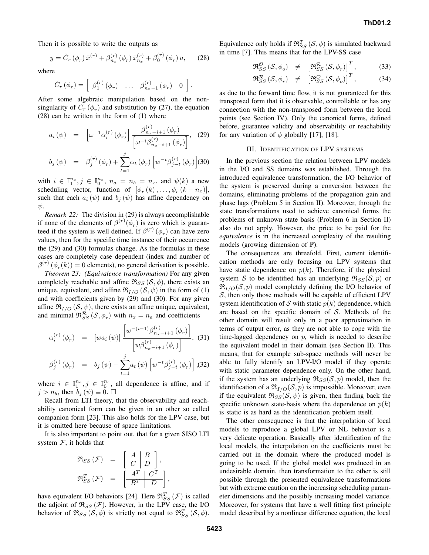Then it is possible to write the outputs as

$$
y = \check{C}_r \left( \phi_r \right) \bar{x}^{(r)} + \beta_{n_x}^{(r)} \left( \phi_r \right) \bar{x}_{n_x}^{(r)} + \beta_0^{(r)} \left( \phi_r \right) u, \qquad (28)
$$

where

$$
\check{C}_r \left( \phi_r \right) = \left[ \begin{array}{ccc} \beta_1^{(r)} \left( \phi_r \right) & \dots & \beta_{n_x-1}^{(r)} \left( \phi_r \right) & 0 \end{array} \right].
$$

After some algebraic manipulation based on the nonsingularity of  $C_r$   $(\phi_r)$  and substitution by (27), the equation (28) can be written in the form of (1) where

$$
a_i(\psi) = \left[ \omega^{-1} \alpha_i^{(r)}(\phi_r) \right] \frac{\beta_{n_x - i + 1}^{(r)}(\phi_r)}{\left[ \omega^{-i} \beta_{n_x - i + 1}^{(r)}(\phi_r) \right]}, \quad (29)
$$

$$
b_j(\psi) = \beta_j^{(r)}(\phi_r) + \sum_{t=1}^{J} \alpha_t(\phi_r) \left[ w^{-t} \beta_{j-t}^{(r)}(\phi_r) \right] (30)
$$

with  $i \in \mathbb{I}_1^{n_x}, j \in \mathbb{I}_0^{n_x}, n_a = n_b = n_x$ , and  $\psi(k)$  a new scheduling vector, function of  $[\phi_r(k), \dots, \phi_r(k - n_x)],$ such that each  $a_i (\psi)$  and  $b_j (\psi)$  has affine dependency on  $\psi$ .

*Remark 22:* The division in (29) is always accomplishable if none of the elements of  $\beta^{(r)}(\phi_r)$  is zero which is guaranteed if the system is well defined. If  $\beta^{(r)}(\phi_r)$  can have zero values, then for the specific time instance of their occurrence the (29) and (30) formulas change. As the formulas in these cases are completely case dependent (index and number of  $\beta^{(r)}(\phi_r(k)) = 0$  elements), no general derivation is possible.

*Theorem 23: (Equivalence transformation)* For any given completely reachable and affine  $\Re_{SS}$  ( $\mathcal{S}, \phi$ ), there exists an unique, equivalent, and affine  $\mathfrak{R}_{I/O}(\mathcal{S}, \psi)$  in the form of (1) and with coefficients given by (29) and (30). For any given affine  $\Re_{I/O}(\mathcal{S}, \psi)$ , there exists an affine unique, equivalent, and minimal  $\mathfrak{R}_{SS}^{\mathcal{R}}(\mathcal{S}, \phi_r)$  with  $n_x = n_a$  and coefficients

$$
\alpha_i^{(r)}(\phi_r) = [wa_i(\psi)] \frac{\left[w^{-(i-1)}\beta_{n_x - i + 1}^{(r)}(\phi_r)\right]}{\left[w\beta_{n_x - i + 1}^{(r)}(\phi_r)\right]}, (31)
$$

$$
\beta_j^{(r)}(\phi_r) = b_j(\psi) - \sum_{t=1}^j a_t(\psi) \left[w^{-t}\beta_{j-t}^{(r)}(\phi_r)\right], (32)
$$

where  $i \in \mathbb{I}_1^{n_a}$ ,  $j \in \mathbb{I}_0^{n_a}$ , all dependence is affine, and if  $j > n_b$ , then  $b_j(\psi) \equiv 0$ .  $\Box$ 

Recall from LTI theory, that the observability and reachability canonical form can be given in an other so called companion form [23]. This also holds for the LPV case, but it is omitted here because of space limitations.

It is also important to point out, that for a given SISO LTI system  $F$ , it holds that

$$
\mathfrak{R}_{SS}(\mathcal{F}) = \left[\begin{array}{c|c} A & B \\ \hline C & D \end{array}\right],
$$
  

$$
\mathfrak{R}_{SS}^T(\mathcal{F}) = \left[\begin{array}{c|c} A^T & C^T \\ \hline B^T & D \end{array}\right],
$$

have equivalent I/O behaviors [24]. Here  $\mathfrak{R}_{SS}^T(\mathcal{F})$  is called the adjoint of  $\mathfrak{R}_{SS}(\mathcal{F})$ . However, in the LPV case, the I/O behavior of  $\Re_{SS}(\mathcal{S}, \phi)$  is strictly not equal to  $\Re_{SS}^T(\mathcal{S}, \phi)$ .

Equivalence only holds if  $\mathfrak{R}_{SS}^T(\mathcal{S}, \phi)$  is simulated backward in time [7]. This means that for the LPV-SS case

$$
\mathfrak{R}_{SS}^{\mathcal{O}}\left(\mathcal{S},\phi_o\right) \neq \left[\mathfrak{R}_{SS}^{\mathcal{R}}\left(\mathcal{S},\phi_r\right)\right]^T, \tag{33}
$$

$$
\mathfrak{R}_{SS}^{\mathcal{R}}\left(\mathcal{S},\phi_{r}\right) \neq \left[\mathfrak{R}_{SS}^{\mathcal{O}}\left(\mathcal{S},\phi_{o}\right)\right]^{T},\tag{34}
$$

as due to the forward time flow, it is not guaranteed for this transposed form that it is observable, controllable or has any connection with the non-transposed form between the local points (see Section IV). Only the canonical forms, defined before, guarantee validity and observability or reachability for any variation of  $\phi$  globally [17], [18].

## III. IDENTIFICATION OF LPV SYSTEMS

In the previous section the relation between LPV models in the I/O and SS domains was established. Through the introduced equivalence transformation, the I/O behavior of the system is preserved during a conversion between the domains, eliminating problems of the propagation gain and phase lags (Problem 5 in Section II). Moreover, through the state transformations used to achieve canonical forms the problems of unknown state basis (Problem 6 in Section II) also do not apply. However, the price to be paid for the *equivalence* is in the increased complexity of the resulting models (growing dimension of  $\mathbb{P}$ ).

The consequences are threefold. First, current identification methods are only focusing on LPV systems that have static dependence on  $p(k)$ . Therefore, if the physical system S to be identified has an underlying  $\Re_{SS}(S, p)$  or  $\mathfrak{R}_{I/O}(\mathcal{S}, p)$  model completely defining the I/O behavior of  $S$ , then only those methods will be capable of efficient LPV system identification of S with static  $p(k)$  dependence, which are based on the specific domain of  $S$ . Methods of the other domain will result only in a poor approximation in terms of output error, as they are not able to cope with the time-lagged dependency on  $p$ , which is needed to describe the equivalent model in their domain (see Section II). This means, that for example sub-space methods will never be able to fully identify an LPV-I/O model if they operate with static parameter dependence only. On the other hand, if the system has an underlying  $\Re_{SS}(S, p)$  model, then the identification of a  $\Re_{I/O}(\mathcal{S}, p)$  is impossible. Moreover, even if the equivalent  $\Re_{SS}(S, \psi)$  is given, then finding back the specific unknown state-basis where the dependence on  $p(k)$ is static is as hard as the identification problem itself.

The other consequence is that the interpolation of local models to reproduce a global LPV or NL behavior is a very delicate operation. Basically after identification of the local models, the interpolation on the coefficients must be carried out in the domain where the produced model is going to be used. If the global model was produced in an undesirable domain, then transformation to the other is still possible through the presented equivalence transformations but with extreme caution on the increasing scheduling parameter dimensions and the possibly increasing model variance. Moreover, for systems that have a well fitting first principle model described by a nonlinear difference equation, the local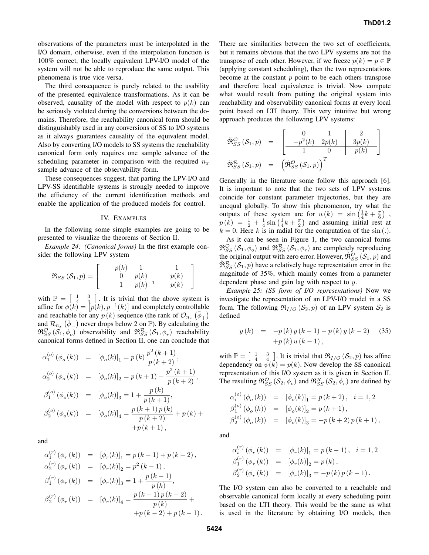observations of the parameters must be interpolated in the I/O domain, otherwise, even if the interpolation function is 100% correct, the locally equivalent LPV-I/O model of the system will not be able to reproduce the same output. This phenomena is true vice-versa.

The third consequence is purely related to the usability of the presented equivalence transformations. As it can be observed, causality of the model with respect to  $p(k)$  can be seriously violated during the conversions between the domains. Therefore, the reachability canonical form should be distinguishably used in any conversions of SS to I/O systems as it always guarantees causality of the equivalent model. Also by converting I/O models to SS systems the reachability canonical form only requires one sample advance of the scheduling parameter in comparison with the required  $n_x$ sample advance of the observability form.

These consequences suggest, that parting the LPV-I/O and LPV-SS identifiable systems is strongly needed to improve the efficiency of the current identification methods and enable the application of the produced models for control.

### IV. EXAMPLES

In the following some simple examples are going to be presented to visualize the theorems of Section II.

*Example 24: (Canonical forms)* In the first example consider the following LPV system

$$
\mathfrak{R}_{SS}(\mathcal{S}_1, p) = \begin{bmatrix} p(k) & 1 & 1 \\ 0 & p(k) & p(k) \\ 1 & p(k)^{-1} & p(k) \end{bmatrix}
$$

with  $\mathbb{P} = \begin{bmatrix} \frac{1}{4} & \frac{3}{4} \end{bmatrix}$ . It is trivial that the above system is affine for  $\phi(k) = [p(k), p^{-1}(k)]$  and completely controllable and reachable for any  $p(k)$  sequence (the rank of  $\mathcal{O}_{n_x}(\bar{\phi}_+)$ and  $\mathcal{R}_{n_x}(\bar{\phi}_-)$  never drops below 2 on  $\mathbb{P}$ ). By calculating the  $\mathfrak{R}_{SS}^{\mathcal{O}}(\overline{S_1}, \phi_o)$  observability and  $\mathfrak{R}_{SS}^{\mathcal{R}}(\overline{S_1}, \phi_r)$  reachability canonical forms defined in Section II, one can conclude that

$$
\alpha_1^{(o)}(\phi_o(k)) = [\phi_o(k)]_1 = p(k)\frac{p^2(k+1)}{p(k+2)},
$$
  
\n
$$
\alpha_2^{(o)}(\phi_o(k)) = [\phi_o(k)]_2 = p(k+1) + \frac{p^2(k+1)}{p(k+2)},
$$
  
\n
$$
\beta_1^{(o)}(\phi_o(k)) = [\phi_o(k)]_3 = 1 + \frac{p(k)}{p(k+1)},
$$
  
\n
$$
\beta_2^{(o)}(\phi_o(k)) = [\phi_o(k)]_4 = \frac{p(k+1)p(k)}{p(k+2)} + p(k) +
$$
  
\n
$$
+p(k+1),
$$

and

$$
\alpha_1^{(r)}(\phi_r(k)) = [\phi_r(k)]_1 = p(k-1) + p(k-2),
$$
  
\n
$$
\alpha_2^{(r)}(\phi_r(k)) = [\phi_r(k)]_2 = p^2(k-1),
$$
  
\n
$$
\beta_1^{(r)}(\phi_r(k)) = [\phi_r(k)]_3 = 1 + \frac{p(k-1)}{p(k)},
$$
  
\n
$$
\beta_2^{(r)}(\phi_r(k)) = [\phi_r(k)]_4 = \frac{p(k-1)p(k-2)}{p(k)} +
$$
  
\n
$$
+p(k-2) + p(k-1).
$$

There are similarities between the two set of coefficients, but it remains obvious that the two LPV systems are not the transpose of each other. However, if we freeze  $p(k) = p \in \mathbb{P}$ (applying constant scheduling), then the two representations become at the constant  $p$  point to be each others transpose and therefore local equivalence is trivial. Now compute what would result from putting the original system into reachability and observability canonical forms at every local point based on LTI theory. This very intuitive but wrong approach produces the following LPV systems:

$$
\widetilde{\mathfrak{R}}_{SS}^{\mathcal{O}}(\mathcal{S}_1, p) = \begin{bmatrix} 0 & 1 & 2 \\ -p^2(k) & 2p(k) & 3p(k) \\ 1 & 0 & p(k) \end{bmatrix}
$$

$$
\widetilde{\mathfrak{R}}_{SS}^{\mathcal{R}}(\mathcal{S}_1, p) = \left(\widetilde{\mathfrak{R}}_{SS}^{\mathcal{O}}(\mathcal{S}_1, p)\right)^T
$$

Generally in the literature some follow this approach [6]. It is important to note that the two sets of LPV systems coincide for constant parameter trajectories, but they are unequal globally. To show this phenomenon, try what the outputs of these system are for  $u(k) = \sin(\frac{1}{4}k + \frac{\pi}{6})$ ,  $p(k) = \frac{1}{2} + \frac{1}{4}\sin\left(\frac{1}{4}k + \frac{\pi}{2}\right)$  and assuming initial rest at  $k = 0$ . Here k is in radial for the computation of the sin (.).

As it can be seen in Figure 1, the two canonical forms  $\mathfrak{R}_{SS}^{\mathcal{O}}(\mathcal{S}_1, \phi_o)$  and  $\mathfrak{R}_{SS}^{\mathcal{R}}(\mathcal{S}_1, \phi_r)$  are completely reproducing the original output with zero error. However,  $\breve{\mathfrak{R}}_{SS}^{O}(\mathcal{S}_1, p)$  and  $\widetilde{\mathfrak{R}}_{SS}^{\mathcal{R}}(\mathcal{S}_1, p)$  have a relatively huge representation error in the magnitude of 35%, which mainly comes from a parameter dependent phase and gain lag with respect to y.

*Example 25: (SS form of I/O representations)* Now we investigate the representation of an LPV-I/O model in a SS form. The following  $\Re_{I/O}$  ( $S_2$ , p) of an LPV system  $S_2$  is defined

$$
y(k) = -p(k) y (k-1) - p(k) y (k-2)
$$
 (35)  
+p(k) u (k-1),

with  $\mathbb{P} = \begin{bmatrix} \frac{1}{4} & \frac{3}{4} \end{bmatrix}$ . It is trivial that  $\mathfrak{R}_{I/O}(\mathcal{S}_2, p)$  has affine dependency on  $\psi(k) = p(k)$ . Now develop the SS canonical representation of this I/O system as it is given in Section II. The resulting  $\mathfrak{R}_{SS}^{\mathcal{O}}(\mathcal{S}_2, \phi_o)$  and  $\mathfrak{R}_{SS}^{\mathcal{R}}(\mathcal{S}_2, \phi_r)$  are defined by

$$
\alpha_i^{(o)} (\phi_o(k)) = [\phi_o(k)]_1 = p(k+2), \quad i = 1, 2
$$
  
\n
$$
\beta_1^{(o)} (\phi_o(k)) = [\phi_o(k)]_2 = p(k+1),
$$
  
\n
$$
\beta_2^{(o)} (\phi_o(k)) = [\phi_o(k)]_3 = -p(k+2) p(k+1),
$$

and

$$
\alpha_i^{(r)}(\phi_r(k)) = [\phi_r(k)]_1 = p(k-1), \quad i = 1, 2
$$
  
\n
$$
\beta_1^{(r)}(\phi_r(k)) = [\phi_r(k)]_2 = p(k),
$$
  
\n
$$
\beta_2^{(r)}(\phi_r(k)) = [\phi_r(k)]_3 = -p(k)p(k-1).
$$

The I/O system can also be converted to a reachable and observable canonical form locally at every scheduling point based on the LTI theory. This would be the same as what is used in the literature by obtaining I/O models, then